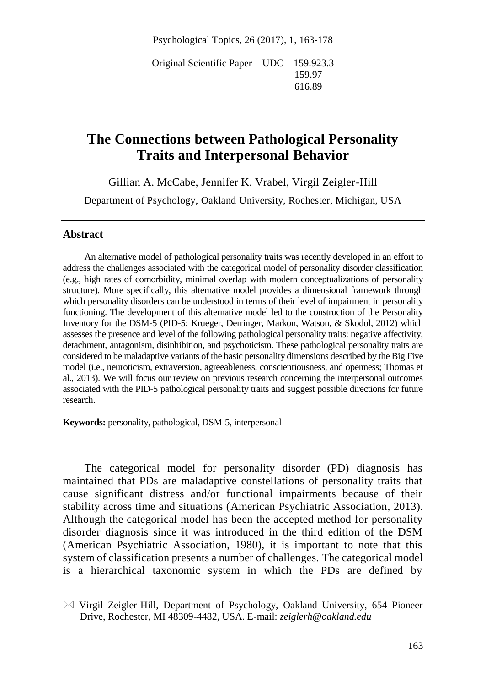Psychological Topics, 26 (2017), 1, 163-178

Original Scientific Paper – UDC – 159.923.3 159.97 616.89

# **The Connections between Pathological Personality Traits and Interpersonal Behavior**

Gillian A. McCabe, Jennifer K. Vrabel, Virgil Zeigler-Hill

Department of Psychology, Oakland University, Rochester, Michigan, USA

#### **Abstract**

An alternative model of pathological personality traits was recently developed in an effort to address the challenges associated with the categorical model of personality disorder classification (e.g., high rates of comorbidity, minimal overlap with modern conceptualizations of personality structure). More specifically, this alternative model provides a dimensional framework through which personality disorders can be understood in terms of their level of impairment in personality functioning. The development of this alternative model led to the construction of the Personality Inventory for the DSM-5 (PID-5; Krueger, Derringer, Markon, Watson, & Skodol, 2012) which assesses the presence and level of the following pathological personality traits: negative affectivity, detachment, antagonism, disinhibition, and psychoticism. These pathological personality traits are considered to be maladaptive variants of the basic personality dimensions described by the Big Five model (i.e., neuroticism, extraversion, agreeableness, conscientiousness, and openness; Thomas et al., 2013). We will focus our review on previous research concerning the interpersonal outcomes associated with the PID-5 pathological personality traits and suggest possible directions for future research.

**Keywords:** personality, pathological, DSM-5, interpersonal

The categorical model for personality disorder (PD) diagnosis has maintained that PDs are maladaptive constellations of personality traits that cause significant distress and/or functional impairments because of their stability across time and situations (American Psychiatric Association, 2013). Although the categorical model has been the accepted method for personality disorder diagnosis since it was introduced in the third edition of the DSM (American Psychiatric Association, 1980), it is important to note that this system of classification presents a number of challenges. The categorical model is a hierarchical taxonomic system in which the PDs are defined by

 $\boxtimes$  Virgil Zeigler-Hill, Department of Psychology, Oakland University, 654 Pioneer Drive, Rochester, MI 48309-4482, USA. E-mail: *zeiglerh@oakland.edu*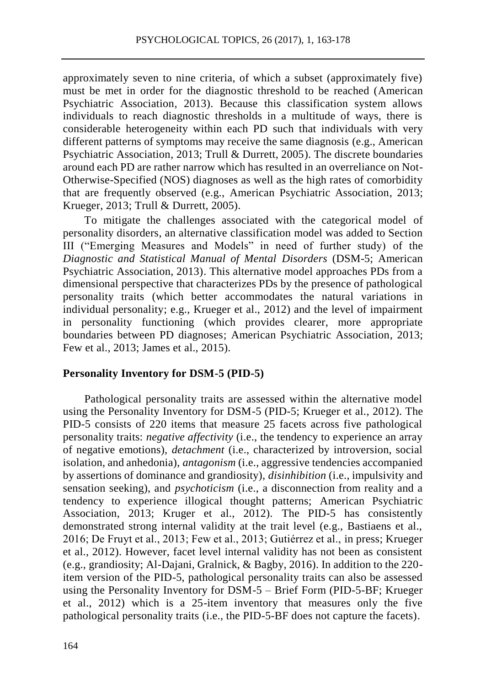approximately seven to nine criteria, of which a subset (approximately five) must be met in order for the diagnostic threshold to be reached (American Psychiatric Association, 2013). Because this classification system allows individuals to reach diagnostic thresholds in a multitude of ways, there is considerable heterogeneity within each PD such that individuals with very different patterns of symptoms may receive the same diagnosis (e.g., American Psychiatric Association, 2013; Trull & Durrett, 2005). The discrete boundaries around each PD are rather narrow which has resulted in an overreliance on Not-Otherwise-Specified (NOS) diagnoses as well as the high rates of comorbidity that are frequently observed (e.g., American Psychiatric Association, 2013; Krueger, 2013; Trull & Durrett, 2005).

To mitigate the challenges associated with the categorical model of personality disorders, an alternative classification model was added to Section III ("Emerging Measures and Models" in need of further study) of the *Diagnostic and Statistical Manual of Mental Disorders* (DSM-5; American Psychiatric Association, 2013). This alternative model approaches PDs from a dimensional perspective that characterizes PDs by the presence of pathological personality traits (which better accommodates the natural variations in individual personality; e.g., Krueger et al., 2012) and the level of impairment in personality functioning (which provides clearer, more appropriate boundaries between PD diagnoses; American Psychiatric Association, 2013; Few et al., 2013; James et al., 2015).

#### **Personality Inventory for DSM-5 (PID-5)**

Pathological personality traits are assessed within the alternative model using the Personality Inventory for DSM-5 (PID-5; Krueger et al., 2012). The PID-5 consists of 220 items that measure 25 facets across five pathological personality traits: *negative affectivity* (i.e., the tendency to experience an array of negative emotions), *detachment* (i.e., characterized by introversion, social isolation, and anhedonia), *antagonism* (i.e., aggressive tendencies accompanied by assertions of dominance and grandiosity), *disinhibition* (i.e., impulsivity and sensation seeking), and *psychoticism* (i.e., a disconnection from reality and a tendency to experience illogical thought patterns; American Psychiatric Association, 2013; Kruger et al., 2012). The PID-5 has consistently demonstrated strong internal validity at the trait level (e.g., Bastiaens et al., 2016; De Fruyt et al., 2013; Few et al., 2013; Gutiérrez et al., in press; Krueger et al., 2012). However, facet level internal validity has not been as consistent (e.g., grandiosity; Al-Dajani, Gralnick, & Bagby, 2016). In addition to the 220 item version of the PID-5, pathological personality traits can also be assessed using the Personality Inventory for DSM-5 – Brief Form (PID-5-BF; Krueger et al., 2012) which is a 25-item inventory that measures only the five pathological personality traits (i.e., the PID-5-BF does not capture the facets).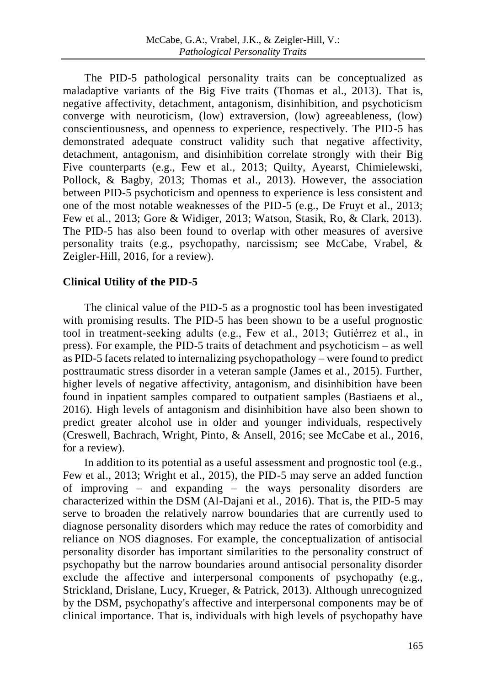The PID-5 pathological personality traits can be conceptualized as maladaptive variants of the Big Five traits (Thomas et al., 2013). That is, negative affectivity, detachment, antagonism, disinhibition, and psychoticism converge with neuroticism, (low) extraversion, (low) agreeableness, (low) conscientiousness, and openness to experience, respectively. The PID-5 has demonstrated adequate construct validity such that negative affectivity, detachment, antagonism, and disinhibition correlate strongly with their Big Five counterparts (e.g., Few et al., 2013; Quilty, Ayearst, Chimielewski, Pollock, & Bagby, 2013; Thomas et al., 2013). However, the association between PID-5 psychoticism and openness to experience is less consistent and one of the most notable weaknesses of the PID-5 (e.g., De Fruyt et al., 2013; Few et al., 2013; Gore & Widiger, 2013; Watson, Stasik, Ro, & Clark, 2013). The PID-5 has also been found to overlap with other measures of aversive personality traits (e.g., psychopathy, narcissism; see McCabe, Vrabel, & Zeigler-Hill, 2016, for a review).

# **Clinical Utility of the PID-5**

The clinical value of the PID-5 as a prognostic tool has been investigated with promising results. The PID-5 has been shown to be a useful prognostic tool in treatment-seeking adults (e.g., Few et al., 2013; Gutiérrez et al., in press). For example, the PID-5 traits of detachment and psychoticism – as well as PID-5 facets related to internalizing psychopathology – were found to predict posttraumatic stress disorder in a veteran sample (James et al., 2015). Further, higher levels of negative affectivity, antagonism, and disinhibition have been found in inpatient samples compared to outpatient samples (Bastiaens et al., 2016). High levels of antagonism and disinhibition have also been shown to predict greater alcohol use in older and younger individuals, respectively (Creswell, Bachrach, Wright, Pinto, & Ansell, 2016; see McCabe et al., 2016, for a review).

In addition to its potential as a useful assessment and prognostic tool (e.g., Few et al., 2013; Wright et al., 2015), the PID-5 may serve an added function of improving – and expanding – the ways personality disorders are characterized within the DSM (Al-Dajani et al., 2016). That is, the PID-5 may serve to broaden the relatively narrow boundaries that are currently used to diagnose personality disorders which may reduce the rates of comorbidity and reliance on NOS diagnoses. For example, the conceptualization of antisocial personality disorder has important similarities to the personality construct of psychopathy but the narrow boundaries around antisocial personality disorder exclude the affective and interpersonal components of psychopathy (e.g., Strickland, Drislane, Lucy, Krueger, & Patrick, 2013). Although unrecognized by the DSM, psychopathy's affective and interpersonal components may be of clinical importance. That is, individuals with high levels of psychopathy have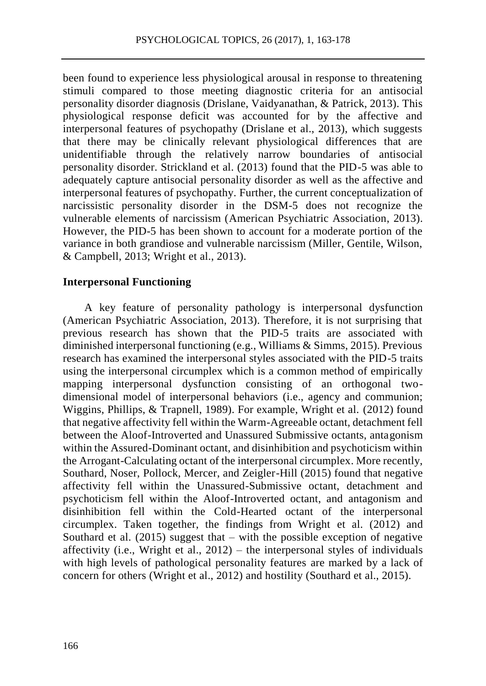been found to experience less physiological arousal in response to threatening stimuli compared to those meeting diagnostic criteria for an antisocial personality disorder diagnosis (Drislane, Vaidyanathan, & Patrick, 2013). This physiological response deficit was accounted for by the affective and interpersonal features of psychopathy (Drislane et al., 2013), which suggests that there may be clinically relevant physiological differences that are unidentifiable through the relatively narrow boundaries of antisocial personality disorder. Strickland et al. (2013) found that the PID-5 was able to adequately capture antisocial personality disorder as well as the affective and interpersonal features of psychopathy. Further, the current conceptualization of narcissistic personality disorder in the DSM-5 does not recognize the vulnerable elements of narcissism (American Psychiatric Association, 2013). However, the PID-5 has been shown to account for a moderate portion of the variance in both grandiose and vulnerable narcissism (Miller, Gentile, Wilson, & Campbell, 2013; Wright et al., 2013).

#### **Interpersonal Functioning**

A key feature of personality pathology is interpersonal dysfunction (American Psychiatric Association, 2013). Therefore, it is not surprising that previous research has shown that the PID-5 traits are associated with diminished interpersonal functioning (e.g., Williams & Simms, 2015). Previous research has examined the interpersonal styles associated with the PID-5 traits using the interpersonal circumplex which is a common method of empirically mapping interpersonal dysfunction consisting of an orthogonal twodimensional model of interpersonal behaviors (i.e., agency and communion; Wiggins, Phillips, & Trapnell, 1989). For example, Wright et al. (2012) found that negative affectivity fell within the Warm-Agreeable octant, detachment fell between the Aloof-Introverted and Unassured Submissive octants, antagonism within the Assured-Dominant octant, and disinhibition and psychoticism within the Arrogant-Calculating octant of the interpersonal circumplex. More recently, Southard, Noser, Pollock, Mercer, and Zeigler-Hill (2015) found that negative affectivity fell within the Unassured-Submissive octant, detachment and psychoticism fell within the Aloof-Introverted octant, and antagonism and disinhibition fell within the Cold-Hearted octant of the interpersonal circumplex. Taken together, the findings from Wright et al. (2012) and Southard et al.  $(2015)$  suggest that – with the possible exception of negative affectivity (i.e., Wright et al.,  $2012$ ) – the interpersonal styles of individuals with high levels of pathological personality features are marked by a lack of concern for others (Wright et al., 2012) and hostility (Southard et al., 2015).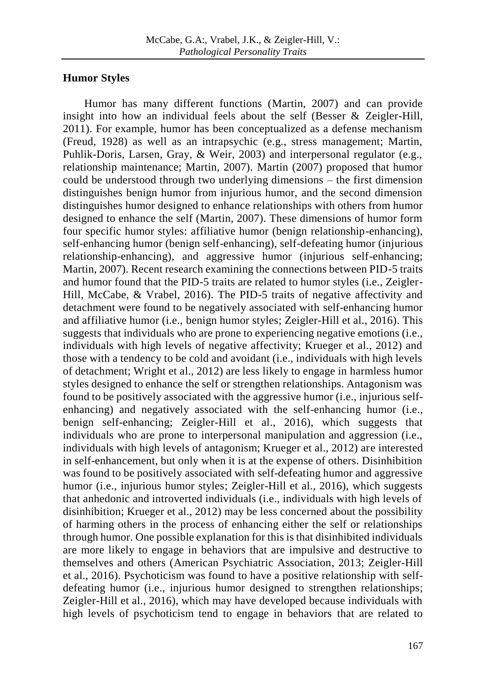### **Humor Styles**

Humor has many different functions (Martin, 2007) and can provide insight into how an individual feels about the self (Besser & Zeigler-Hill, 2011). For example, humor has been conceptualized as a defense mechanism (Freud, 1928) as well as an intrapsychic (e.g., stress management; Martin, Puhlik-Doris, Larsen, Gray, & Weir, 2003) and interpersonal regulator (e.g., relationship maintenance; Martin, 2007). Martin (2007) proposed that humor could be understood through two underlying dimensions – the first dimension distinguishes benign humor from injurious humor, and the second dimension distinguishes humor designed to enhance relationships with others from humor designed to enhance the self (Martin, 2007). These dimensions of humor form four specific humor styles: affiliative humor (benign relationship-enhancing), self-enhancing humor (benign self-enhancing), self-defeating humor (injurious relationship-enhancing), and aggressive humor (injurious self-enhancing; Martin, 2007). Recent research examining the connections between PID-5 traits and humor found that the PID-5 traits are related to humor styles (i.e., Zeigler-Hill, McCabe, & Vrabel, 2016). The PID-5 traits of negative affectivity and detachment were found to be negatively associated with self-enhancing humor and affiliative humor (i.e., benign humor styles; Zeigler-Hill et al., 2016). This suggests that individuals who are prone to experiencing negative emotions (i.e., individuals with high levels of negative affectivity; Krueger et al., 2012) and those with a tendency to be cold and avoidant (i.e., individuals with high levels of detachment; Wright et al., 2012) are less likely to engage in harmless humor styles designed to enhance the self or strengthen relationships. Antagonism was found to be positively associated with the aggressive humor (i.e., injurious selfenhancing) and negatively associated with the self-enhancing humor (i.e., benign self-enhancing; Zeigler-Hill et al., 2016), which suggests that individuals who are prone to interpersonal manipulation and aggression (i.e., individuals with high levels of antagonism; Krueger et al., 2012) are interested in self-enhancement, but only when it is at the expense of others. Disinhibition was found to be positively associated with self-defeating humor and aggressive humor (i.e., injurious humor styles; Zeigler-Hill et al., 2016), which suggests that anhedonic and introverted individuals (i.e., individuals with high levels of disinhibition; Krueger et al., 2012) may be less concerned about the possibility of harming others in the process of enhancing either the self or relationships through humor. One possible explanation for this is that disinhibited individuals are more likely to engage in behaviors that are impulsive and destructive to themselves and others (American Psychiatric Association, 2013; Zeigler-Hill et al., 2016). Psychoticism was found to have a positive relationship with selfdefeating humor (i.e., injurious humor designed to strengthen relationships; Zeigler-Hill et al., 2016), which may have developed because individuals with high levels of psychoticism tend to engage in behaviors that are related to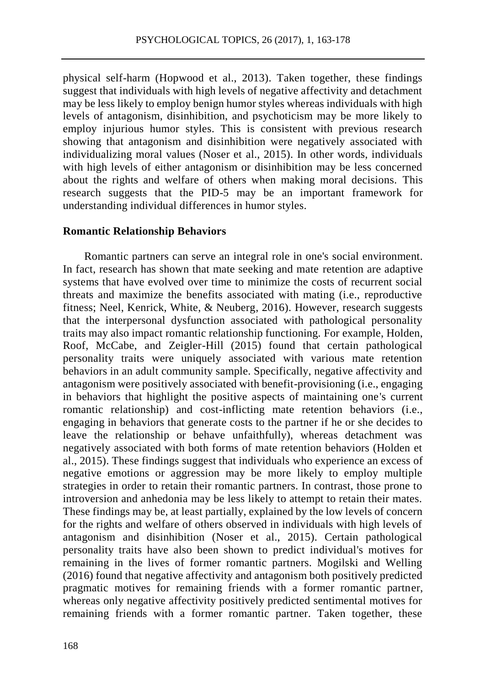physical self-harm (Hopwood et al., 2013). Taken together, these findings suggest that individuals with high levels of negative affectivity and detachment may be less likely to employ benign humor styles whereas individuals with high levels of antagonism, disinhibition, and psychoticism may be more likely to employ injurious humor styles. This is consistent with previous research showing that antagonism and disinhibition were negatively associated with individualizing moral values (Noser et al., 2015). In other words, individuals with high levels of either antagonism or disinhibition may be less concerned about the rights and welfare of others when making moral decisions. This research suggests that the PID-5 may be an important framework for understanding individual differences in humor styles.

#### **Romantic Relationship Behaviors**

Romantic partners can serve an integral role in one's social environment. In fact, research has shown that mate seeking and mate retention are adaptive systems that have evolved over time to minimize the costs of recurrent social threats and maximize the benefits associated with mating (i.e., reproductive fitness; Neel, Kenrick, White, & Neuberg, 2016). However, research suggests that the interpersonal dysfunction associated with pathological personality traits may also impact romantic relationship functioning. For example, Holden, Roof, McCabe, and Zeigler-Hill (2015) found that certain pathological personality traits were uniquely associated with various mate retention behaviors in an adult community sample. Specifically, negative affectivity and antagonism were positively associated with benefit-provisioning (i.e., engaging in behaviors that highlight the positive aspects of maintaining one's current romantic relationship) and cost-inflicting mate retention behaviors (i.e., engaging in behaviors that generate costs to the partner if he or she decides to leave the relationship or behave unfaithfully), whereas detachment was negatively associated with both forms of mate retention behaviors (Holden et al., 2015). These findings suggest that individuals who experience an excess of negative emotions or aggression may be more likely to employ multiple strategies in order to retain their romantic partners. In contrast, those prone to introversion and anhedonia may be less likely to attempt to retain their mates. These findings may be, at least partially, explained by the low levels of concern for the rights and welfare of others observed in individuals with high levels of antagonism and disinhibition (Noser et al., 2015). Certain pathological personality traits have also been shown to predict individual's motives for remaining in the lives of former romantic partners. Mogilski and Welling (2016) found that negative affectivity and antagonism both positively predicted pragmatic motives for remaining friends with a former romantic partner, whereas only negative affectivity positively predicted sentimental motives for remaining friends with a former romantic partner. Taken together, these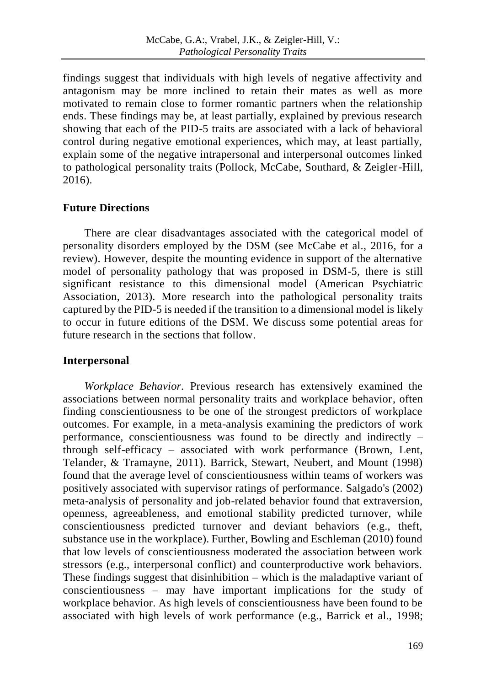findings suggest that individuals with high levels of negative affectivity and antagonism may be more inclined to retain their mates as well as more motivated to remain close to former romantic partners when the relationship ends. These findings may be, at least partially, explained by previous research showing that each of the PID-5 traits are associated with a lack of behavioral control during negative emotional experiences, which may, at least partially, explain some of the negative intrapersonal and interpersonal outcomes linked to pathological personality traits (Pollock, McCabe, Southard, & Zeigler-Hill, 2016).

# **Future Directions**

There are clear disadvantages associated with the categorical model of personality disorders employed by the DSM (see McCabe et al., 2016, for a review). However, despite the mounting evidence in support of the alternative model of personality pathology that was proposed in DSM-5, there is still significant resistance to this dimensional model (American Psychiatric Association, 2013). More research into the pathological personality traits captured by the PID-5 is needed if the transition to a dimensional model is likely to occur in future editions of the DSM. We discuss some potential areas for future research in the sections that follow.

#### **Interpersonal**

*Workplace Behavior.* Previous research has extensively examined the associations between normal personality traits and workplace behavior, often finding conscientiousness to be one of the strongest predictors of workplace outcomes. For example, in a meta-analysis examining the predictors of work performance, conscientiousness was found to be directly and indirectly – through self-efficacy – associated with work performance (Brown, Lent, Telander, & Tramayne, 2011). Barrick, Stewart, Neubert, and Mount (1998) found that the average level of conscientiousness within teams of workers was positively associated with supervisor ratings of performance. Salgado's (2002) meta-analysis of personality and job-related behavior found that extraversion, openness, agreeableness, and emotional stability predicted turnover, while conscientiousness predicted turnover and deviant behaviors (e.g., theft, substance use in the workplace). Further, Bowling and Eschleman (2010) found that low levels of conscientiousness moderated the association between work stressors (e.g., interpersonal conflict) and counterproductive work behaviors. These findings suggest that disinhibition – which is the maladaptive variant of conscientiousness – may have important implications for the study of workplace behavior. As high levels of conscientiousness have been found to be associated with high levels of work performance (e.g., Barrick et al., 1998;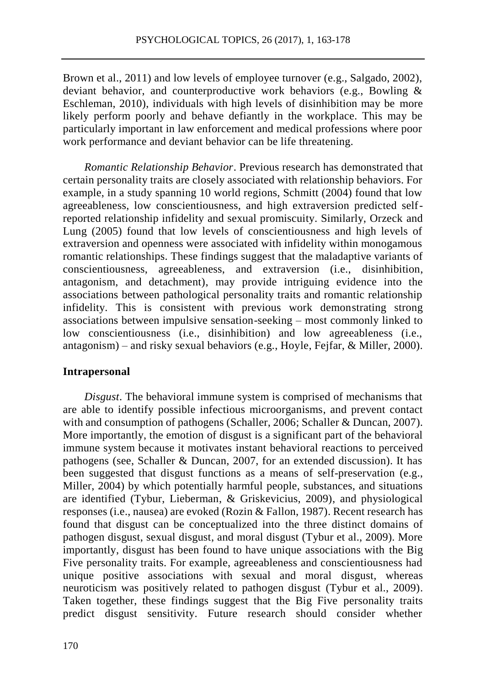Brown et al., 2011) and low levels of employee turnover (e.g., Salgado, 2002), deviant behavior, and counterproductive work behaviors (e.g., Bowling & Eschleman, 2010), individuals with high levels of disinhibition may be more likely perform poorly and behave defiantly in the workplace. This may be particularly important in law enforcement and medical professions where poor work performance and deviant behavior can be life threatening.

*Romantic Relationship Behavior*. Previous research has demonstrated that certain personality traits are closely associated with relationship behaviors. For example, in a study spanning 10 world regions, Schmitt (2004) found that low agreeableness, low conscientiousness, and high extraversion predicted selfreported relationship infidelity and sexual promiscuity. Similarly, Orzeck and Lung (2005) found that low levels of conscientiousness and high levels of extraversion and openness were associated with infidelity within monogamous romantic relationships. These findings suggest that the maladaptive variants of conscientiousness, agreeableness, and extraversion (i.e., disinhibition, antagonism, and detachment), may provide intriguing evidence into the associations between pathological personality traits and romantic relationship infidelity. This is consistent with previous work demonstrating strong associations between impulsive sensation-seeking – most commonly linked to low conscientiousness (i.e., disinhibition) and low agreeableness (i.e., antagonism) – and risky sexual behaviors (e.g., Hoyle, Fejfar, & Miller, 2000).

#### **Intrapersonal**

*Disgust*. The behavioral immune system is comprised of mechanisms that are able to identify possible infectious microorganisms, and prevent contact with and consumption of pathogens (Schaller, 2006; Schaller & Duncan, 2007). More importantly, the emotion of disgust is a significant part of the behavioral immune system because it motivates instant behavioral reactions to perceived pathogens (see, Schaller & Duncan, 2007, for an extended discussion). It has been suggested that disgust functions as a means of self-preservation (e.g., Miller, 2004) by which potentially harmful people, substances, and situations are identified (Tybur, Lieberman, & Griskevicius, 2009), and physiological responses (i.e., nausea) are evoked (Rozin & Fallon, 1987). Recent research has found that disgust can be conceptualized into the three distinct domains of pathogen disgust, sexual disgust, and moral disgust (Tybur et al., 2009). More importantly, disgust has been found to have unique associations with the Big Five personality traits. For example, agreeableness and conscientiousness had unique positive associations with sexual and moral disgust, whereas neuroticism was positively related to pathogen disgust (Tybur et al., 2009). Taken together, these findings suggest that the Big Five personality traits predict disgust sensitivity. Future research should consider whether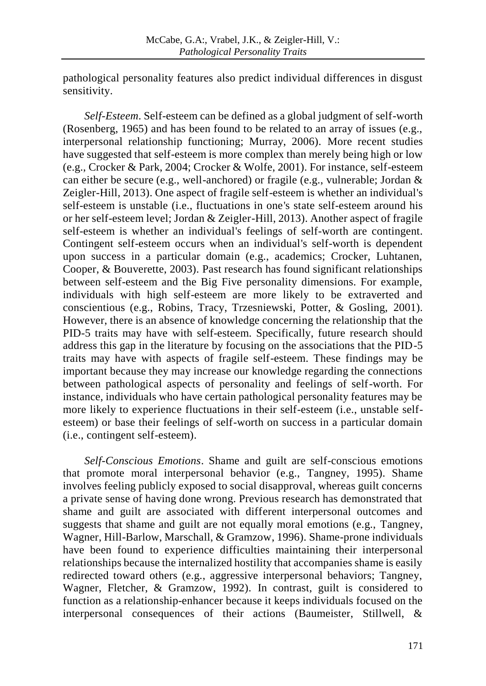pathological personality features also predict individual differences in disgust sensitivity.

*Self-Esteem*. Self-esteem can be defined as a global judgment of self-worth (Rosenberg, 1965) and has been found to be related to an array of issues (e.g., interpersonal relationship functioning; Murray, 2006). More recent studies have suggested that self-esteem is more complex than merely being high or low (e.g., Crocker & Park, 2004; Crocker & Wolfe, 2001). For instance, self-esteem can either be secure (e.g., well-anchored) or fragile (e.g., vulnerable; Jordan & Zeigler-Hill, 2013). One aspect of fragile self-esteem is whether an individual's self-esteem is unstable (i.e., fluctuations in one's state self-esteem around his or her self-esteem level; Jordan & Zeigler-Hill, 2013). Another aspect of fragile self-esteem is whether an individual's feelings of self-worth are contingent. Contingent self-esteem occurs when an individual's self-worth is dependent upon success in a particular domain (e.g., academics; Crocker, Luhtanen, Cooper, & Bouverette, 2003). Past research has found significant relationships between self-esteem and the Big Five personality dimensions. For example, individuals with high self-esteem are more likely to be extraverted and conscientious (e.g., Robins, Tracy, Trzesniewski, Potter, & Gosling, 2001). However, there is an absence of knowledge concerning the relationship that the PID-5 traits may have with self-esteem. Specifically, future research should address this gap in the literature by focusing on the associations that the PID-5 traits may have with aspects of fragile self-esteem. These findings may be important because they may increase our knowledge regarding the connections between pathological aspects of personality and feelings of self-worth. For instance, individuals who have certain pathological personality features may be more likely to experience fluctuations in their self-esteem (i.e., unstable selfesteem) or base their feelings of self-worth on success in a particular domain (i.e., contingent self-esteem).

*Self-Conscious Emotions*. Shame and guilt are self-conscious emotions that promote moral interpersonal behavior (e.g., Tangney, 1995). Shame involves feeling publicly exposed to social disapproval, whereas guilt concerns a private sense of having done wrong. Previous research has demonstrated that shame and guilt are associated with different interpersonal outcomes and suggests that shame and guilt are not equally moral emotions (e.g., Tangney, Wagner, Hill-Barlow, Marschall, & Gramzow, 1996). Shame-prone individuals have been found to experience difficulties maintaining their interpersonal relationships because the internalized hostility that accompanies shame is easily redirected toward others (e.g., aggressive interpersonal behaviors; Tangney, Wagner, Fletcher, & Gramzow, 1992). In contrast, guilt is considered to function as a relationship-enhancer because it keeps individuals focused on the interpersonal consequences of their actions (Baumeister, Stillwell, &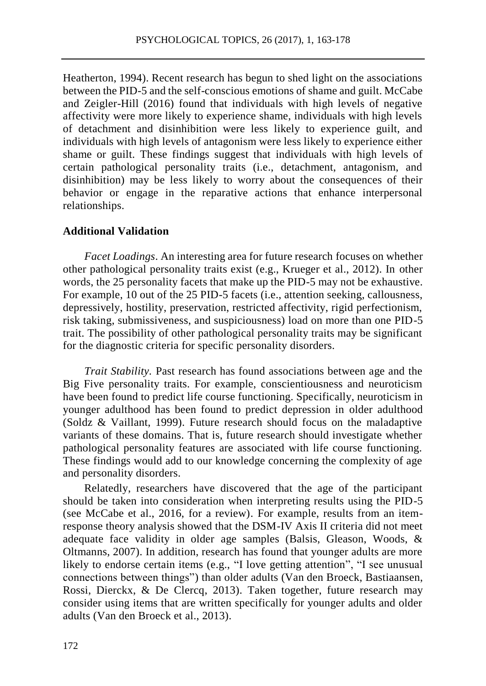Heatherton, 1994). Recent research has begun to shed light on the associations between the PID-5 and the self-conscious emotions of shame and guilt. McCabe and Zeigler-Hill (2016) found that individuals with high levels of negative affectivity were more likely to experience shame, individuals with high levels of detachment and disinhibition were less likely to experience guilt, and individuals with high levels of antagonism were less likely to experience either shame or guilt. These findings suggest that individuals with high levels of certain pathological personality traits (i.e., detachment, antagonism, and disinhibition) may be less likely to worry about the consequences of their behavior or engage in the reparative actions that enhance interpersonal relationships.

#### **Additional Validation**

*Facet Loadings*. An interesting area for future research focuses on whether other pathological personality traits exist (e.g., Krueger et al., 2012). In other words, the 25 personality facets that make up the PID-5 may not be exhaustive. For example, 10 out of the 25 PID-5 facets (i.e., attention seeking, callousness, depressively, hostility, preservation, restricted affectivity, rigid perfectionism, risk taking, submissiveness, and suspiciousness) load on more than one PID-5 trait. The possibility of other pathological personality traits may be significant for the diagnostic criteria for specific personality disorders.

*Trait Stability.* Past research has found associations between age and the Big Five personality traits. For example, conscientiousness and neuroticism have been found to predict life course functioning. Specifically, neuroticism in younger adulthood has been found to predict depression in older adulthood (Soldz & Vaillant, 1999). Future research should focus on the maladaptive variants of these domains. That is, future research should investigate whether pathological personality features are associated with life course functioning. These findings would add to our knowledge concerning the complexity of age and personality disorders.

Relatedly, researchers have discovered that the age of the participant should be taken into consideration when interpreting results using the PID-5 (see McCabe et al., 2016, for a review). For example, results from an itemresponse theory analysis showed that the DSM-IV Axis II criteria did not meet adequate face validity in older age samples (Balsis, Gleason, Woods, & Oltmanns, 2007). In addition, research has found that younger adults are more likely to endorse certain items (e.g., "I love getting attention", "I see unusual connections between things") than older adults (Van den Broeck, Bastiaansen, Rossi, Dierckx, & De Clercq, 2013). Taken together, future research may consider using items that are written specifically for younger adults and older adults (Van den Broeck et al., 2013).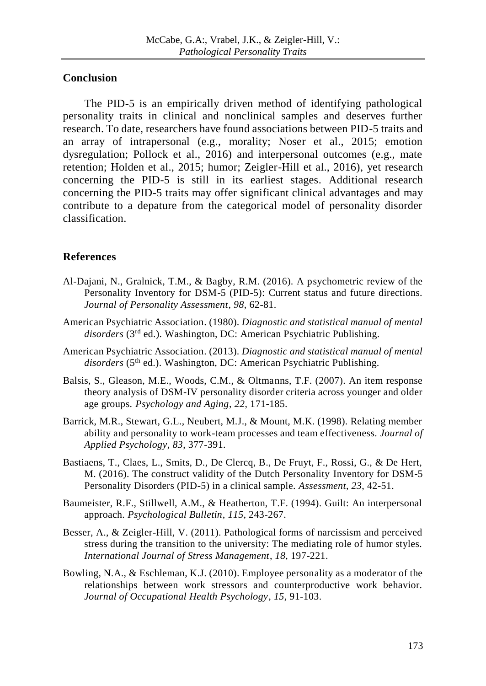#### **Conclusion**

The PID-5 is an empirically driven method of identifying pathological personality traits in clinical and nonclinical samples and deserves further research. To date, researchers have found associations between PID-5 traits and an array of intrapersonal (e.g., morality; Noser et al., 2015; emotion dysregulation; Pollock et al., 2016) and interpersonal outcomes (e.g., mate retention; Holden et al., 2015; humor; Zeigler-Hill et al., 2016), yet research concerning the PID-5 is still in its earliest stages. Additional research concerning the PID-5 traits may offer significant clinical advantages and may contribute to a depature from the categorical model of personality disorder classification.

# **References**

- Al-Dajani, N., Gralnick, T.M., & Bagby, R.M. (2016). A psychometric review of the Personality Inventory for DSM-5 (PID-5): Current status and future directions. *Journal of Personality Assessment*, *98*, 62-81.
- American Psychiatric Association. (1980). *Diagnostic and statistical manual of mental disorders* (3rd ed.). Washington, DC: American Psychiatric Publishing.
- American Psychiatric Association. (2013). *Diagnostic and statistical manual of mental*  disorders (5<sup>th</sup> ed.). Washington, DC: American Psychiatric Publishing.
- Balsis, S., Gleason, M.E., Woods, C.M., & Oltmanns, T.F. (2007). An item response theory analysis of DSM-IV personality disorder criteria across younger and older age groups. *Psychology and Aging*, *22*, 171-185.
- Barrick, M.R., Stewart, G.L., Neubert, M.J., & Mount, M.K. (1998). Relating member ability and personality to work-team processes and team effectiveness. *Journal of Applied Psychology*, *83*, 377-391.
- Bastiaens, T., Claes, L., Smits, D., De Clercq, B., De Fruyt, F., Rossi, G., & De Hert, M. (2016). The construct validity of the Dutch Personality Inventory for DSM-5 Personality Disorders (PID-5) in a clinical sample. *Assessment*, *23*, 42-51.
- Baumeister, R.F., Stillwell, A.M., & Heatherton, T.F. (1994). Guilt: An interpersonal approach. *Psychological Bulletin*, *115*, 243-267.
- Besser, A., & Zeigler-Hill, V. (2011). Pathological forms of narcissism and perceived stress during the transition to the university: The mediating role of humor styles. *International Journal of Stress Management*, *18*, 197-221.
- Bowling, N.A., & Eschleman, K.J. (2010). Employee personality as a moderator of the relationships between work stressors and counterproductive work behavior. *Journal of Occupational Health Psychology*, *15*, 91-103.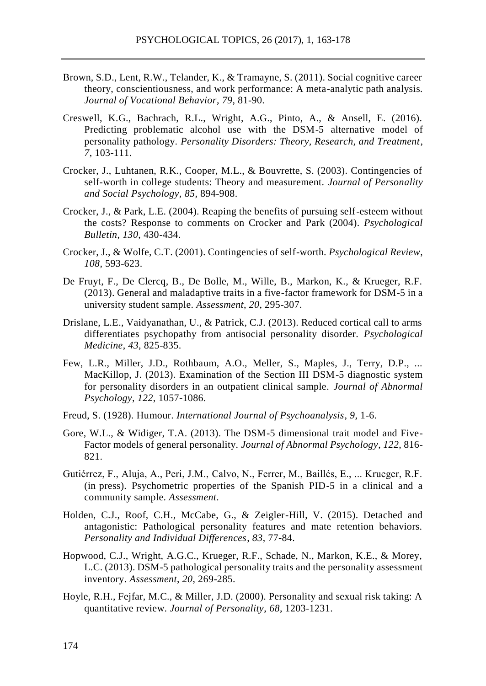- Brown, S.D., Lent, R.W., Telander, K., & Tramayne, S. (2011). Social cognitive career theory, conscientiousness, and work performance: A meta-analytic path analysis. *Journal of Vocational Behavior*, *79*, 81-90.
- Creswell, K.G., Bachrach, R.L., Wright, A.G., Pinto, A., & Ansell, E. (2016). Predicting problematic alcohol use with the DSM-5 alternative model of personality pathology. *Personality Disorders: Theory, Research, and Treatment*, *7*, 103-111.
- Crocker, J., Luhtanen, R.K., Cooper, M.L., & Bouvrette, S. (2003). Contingencies of self-worth in college students: Theory and measurement. *Journal of Personality and Social Psychology*, *85*, 894-908.
- Crocker, J., & Park, L.E. (2004). Reaping the benefits of pursuing self-esteem without the costs? Response to comments on Crocker and Park (2004). *Psychological Bulletin*, *130*, 430-434.
- Crocker, J., & Wolfe, C.T. (2001). Contingencies of self-worth. *Psychological Review*, *108*, 593-623.
- De Fruyt, F., De Clercq, B., De Bolle, M., Wille, B., Markon, K., & Krueger, R.F. (2013). General and maladaptive traits in a five-factor framework for DSM-5 in a university student sample. *Assessment*, *20*, 295-307.
- Drislane, L.E., Vaidyanathan, U., & Patrick, C.J. (2013). Reduced cortical call to arms differentiates psychopathy from antisocial personality disorder. *Psychological Medicine*, *43*, 825-835.
- Few, L.R., Miller, J.D., Rothbaum, A.O., Meller, S., Maples, J., Terry, D.P., ... MacKillop, J. (2013). Examination of the Section III DSM-5 diagnostic system for personality disorders in an outpatient clinical sample. *Journal of Abnormal Psychology*, *122*, 1057-1086.
- Freud, S. (1928). Humour. *International Journal of Psychoanalysis*, *9*, 1-6.
- Gore, W.L., & Widiger, T.A. (2013). The DSM-5 dimensional trait model and Five-Factor models of general personality. *Journal of Abnormal Psychology*, *122*, 816- 821.
- Gutiérrez, F., Aluja, A., Peri, J.M., Calvo, N., Ferrer, M., Baillés, E., ... Krueger, R.F. (in press). Psychometric properties of the Spanish PID-5 in a clinical and a community sample. *Assessment*.
- Holden, C.J., Roof, C.H., McCabe, G., & Zeigler-Hill, V. (2015). Detached and antagonistic: Pathological personality features and mate retention behaviors. *Personality and Individual Differences*, *83*, 77-84.
- Hopwood, C.J., Wright, A.G.C., Krueger, R.F., Schade, N., Markon, K.E., & Morey, L.C. (2013). DSM-5 pathological personality traits and the personality assessment inventory. *Assessment*, *20*, 269-285.
- Hoyle, R.H., Fejfar, M.C., & Miller, J.D. (2000). Personality and sexual risk taking: A quantitative review. *Journal of Personality*, *68*, 1203-1231.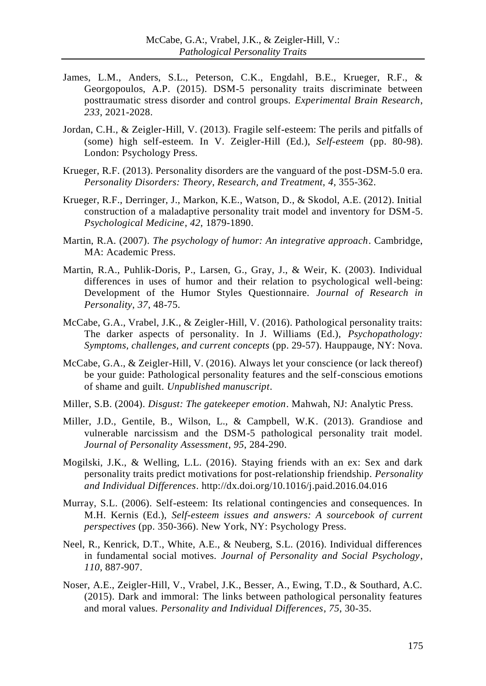- James, L.M., Anders, S.L., Peterson, C.K., Engdahl, B.E., Krueger, R.F., & Georgopoulos, A.P. (2015). DSM-5 personality traits discriminate between posttraumatic stress disorder and control groups. *Experimental Brain Research*, *233*, 2021-2028.
- Jordan, C.H., & Zeigler-Hill, V. (2013). Fragile self-esteem: The perils and pitfalls of (some) high self-esteem. In V. Zeigler-Hill (Ed.), *Self-esteem* (pp. 80-98). London: Psychology Press.
- Krueger, R.F. (2013). Personality disorders are the vanguard of the post-DSM-5.0 era. *Personality Disorders: Theory, Research, and Treatment*, *4*, 355-362.
- Krueger, R.F., Derringer, J., Markon, K.E., Watson, D., & Skodol, A.E. (2012). Initial construction of a maladaptive personality trait model and inventory for DSM-5. *Psychological Medicine*, *42*, 1879-1890.
- Martin, R.A. (2007). *The psychology of humor: An integrative approach*. Cambridge, MA: Academic Press.
- Martin, R.A., Puhlik-Doris, P., Larsen, G., Gray, J., & Weir, K. (2003). Individual differences in uses of humor and their relation to psychological well-being: Development of the Humor Styles Questionnaire. *Journal of Research in Personality*, *37*, 48-75.
- McCabe, G.A., Vrabel, J.K., & Zeigler-Hill, V. (2016). Pathological personality traits: The darker aspects of personality. In J. Williams (Ed.), *Psychopathology: Symptoms, challenges, and current concepts* (pp. 29-57). Hauppauge, NY: Nova.
- McCabe, G.A., & Zeigler-Hill, V. (2016). Always let your conscience (or lack thereof) be your guide: Pathological personality features and the self-conscious emotions of shame and guilt. *Unpublished manuscript*.
- Miller, S.B. (2004). *Disgust: The gatekeeper emotion*. Mahwah, NJ: Analytic Press.
- Miller, J.D., Gentile, B., Wilson, L., & Campbell, W.K. (2013). Grandiose and vulnerable narcissism and the DSM-5 pathological personality trait model. *Journal of Personality Assessment*, *95*, 284-290.
- Mogilski, J.K., & Welling, L.L. (2016). Staying friends with an ex: Sex and dark personality traits predict motivations for post-relationship friendship. *Personality and Individual Differences*. http://dx.doi.org/10.1016/j.paid.2016.04.016
- Murray, S.L. (2006). Self-esteem: Its relational contingencies and consequences. In M.H. Kernis (Ed.), *Self-esteem issues and answers: A sourcebook of current perspectives* (pp. 350-366). New York, NY: Psychology Press.
- Neel, R., Kenrick, D.T., White, A.E., & Neuberg, S.L. (2016). Individual differences in fundamental social motives. *Journal of Personality and Social Psychology*, *110*, 887-907.
- Noser, A.E., Zeigler-Hill, V., Vrabel, J.K., Besser, A., Ewing, T.D., & Southard, A.C. (2015). Dark and immoral: The links between pathological personality features and moral values. *Personality and Individual Differences*, *75*, 30-35.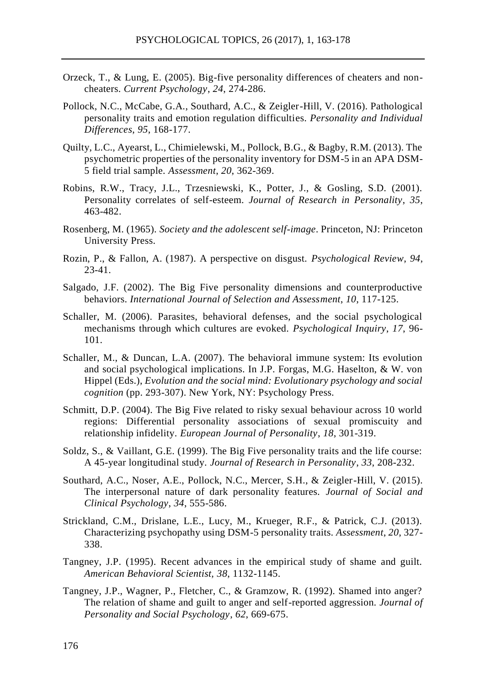- Orzeck, T., & Lung, E. (2005). Big-five personality differences of cheaters and noncheaters. *Current Psychology*, *24*, 274-286.
- Pollock, N.C., McCabe, G.A., Southard, A.C., & Zeigler-Hill, V. (2016). Pathological personality traits and emotion regulation difficulties. *Personality and Individual Differences*, *95*, 168-177.
- Quilty, L.C., Ayearst, L., Chimielewski, M., Pollock, B.G., & Bagby, R.M. (2013). The psychometric properties of the personality inventory for DSM-5 in an APA DSM-5 field trial sample. *Assessment*, *20*, 362-369.
- Robins, R.W., Tracy, J.L., Trzesniewski, K., Potter, J., & Gosling, S.D. (2001). Personality correlates of self-esteem. *Journal of Research in Personality*, *35*, 463-482.
- Rosenberg, M. (1965). *Society and the adolescent self-image*. Princeton, NJ: Princeton University Press.
- Rozin, P., & Fallon, A. (1987). A perspective on disgust. *Psychological Review*, *94*, 23-41.
- Salgado, J.F. (2002). The Big Five personality dimensions and counterproductive behaviors. *International Journal of Selection and Assessment*, *10*, 117-125.
- Schaller, M. (2006). Parasites, behavioral defenses, and the social psychological mechanisms through which cultures are evoked. *Psychological Inquiry*, *17*, 96- 101.
- Schaller, M., & Duncan, L.A. (2007). The behavioral immune system: Its evolution and social psychological implications. In J.P. Forgas, M.G. Haselton, & W. von Hippel (Eds.), *Evolution and the social mind: Evolutionary psychology and social cognition* (pp. 293-307). New York, NY: Psychology Press.
- Schmitt, D.P. (2004). The Big Five related to risky sexual behaviour across 10 world regions: Differential personality associations of sexual promiscuity and relationship infidelity. *European Journal of Personality*, *18*, 301-319.
- Soldz, S., & Vaillant, G.E. (1999). The Big Five personality traits and the life course: A 45-year longitudinal study. *Journal of Research in Personality*, *33*, 208-232.
- Southard, A.C., Noser, A.E., Pollock, N.C., Mercer, S.H., & Zeigler-Hill, V. (2015). The interpersonal nature of dark personality features. *Journal of Social and Clinical Psychology*, *34*, 555-586.
- Strickland, C.M., Drislane, L.E., Lucy, M., Krueger, R.F., & Patrick, C.J. (2013). Characterizing psychopathy using DSM-5 personality traits. *Assessment*, *20*, 327- 338.
- Tangney, J.P. (1995). Recent advances in the empirical study of shame and guilt. *American Behavioral Scientist, 38*, 1132-1145.
- Tangney, J.P., Wagner, P., Fletcher, C., & Gramzow, R. (1992). Shamed into anger? The relation of shame and guilt to anger and self-reported aggression. *Journal of Personality and Social Psychology*, *62*, 669-675.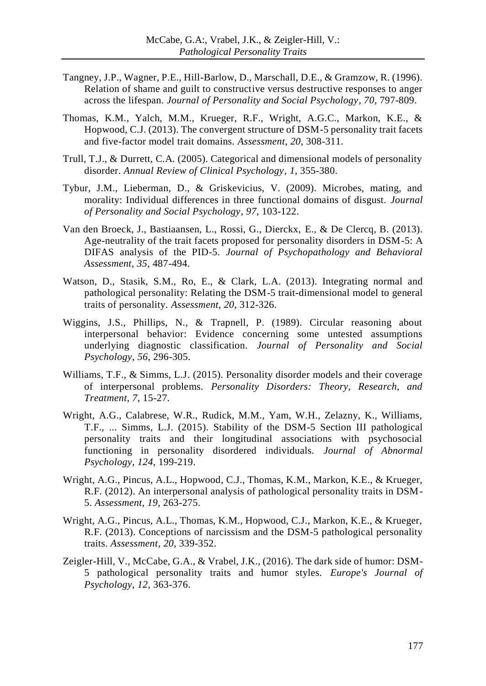- Tangney, J.P., Wagner, P.E., Hill-Barlow, D., Marschall, D.E., & Gramzow, R. (1996). Relation of shame and guilt to constructive versus destructive responses to anger across the lifespan. *Journal of Personality and Social Psychology*, *70*, 797-809.
- Thomas, K.M., Yalch, M.M., Krueger, R.F., Wright, A.G.C., Markon, K.E., & Hopwood, C.J. (2013). The convergent structure of DSM-5 personality trait facets and five-factor model trait domains. *Assessment*, *20*, 308-311.
- Trull, T.J., & Durrett, C.A. (2005). Categorical and dimensional models of personality disorder. *Annual Review of Clinical Psychology*, *1*, 355-380.
- Tybur, J.M., Lieberman, D., & Griskevicius, V. (2009). Microbes, mating, and morality: Individual differences in three functional domains of disgust. *Journal of Personality and Social Psychology*, *97*, 103-122.
- Van den Broeck, J., Bastiaansen, L., Rossi, G., Dierckx, E., & De Clercq, B. (2013). Age-neutrality of the trait facets proposed for personality disorders in DSM-5: A DIFAS analysis of the PID-5. *Journal of Psychopathology and Behavioral Assessment*, *35*, 487-494.
- Watson, D., Stasik, S.M., Ro, E., & Clark, L.A. (2013). Integrating normal and pathological personality: Relating the DSM-5 trait-dimensional model to general traits of personality. *Assessment*, *20*, 312-326.
- Wiggins, J.S., Phillips, N., & Trapnell, P. (1989). Circular reasoning about interpersonal behavior: Evidence concerning some untested assumptions underlying diagnostic classification. *Journal of Personality and Social Psychology*, *56*, 296-305.
- Williams, T.F., & Simms, L.J. (2015). Personality disorder models and their coverage of interpersonal problems. *Personality Disorders: Theory, Research, and Treatment*, *7*, 15-27.
- Wright, A.G., Calabrese, W.R., Rudick, M.M., Yam, W.H., Zelazny, K., Williams, T.F., ... Simms, L.J. (2015). Stability of the DSM-5 Section III pathological personality traits and their longitudinal associations with psychosocial functioning in personality disordered individuals. *Journal of Abnormal Psychology*, *124*, 199-219.
- Wright, A.G., Pincus, A.L., Hopwood, C.J., Thomas, K.M., Markon, K.E., & Krueger, R.F. (2012). An interpersonal analysis of pathological personality traits in DSM-5. *Assessment*, *19*, 263-275.
- Wright, A.G., Pincus, A.L., Thomas, K.M., Hopwood, C.J., Markon, K.E., & Krueger, R.F. (2013). Conceptions of narcissism and the DSM-5 pathological personality traits. *Assessment*, *20*, 339-352.
- Zeigler-Hill, V., McCabe, G.A., & Vrabel, J.K., (2016). The dark side of humor: DSM-5 pathological personality traits and humor styles. *Europe's Journal of Psychology*, *12*, 363-376.